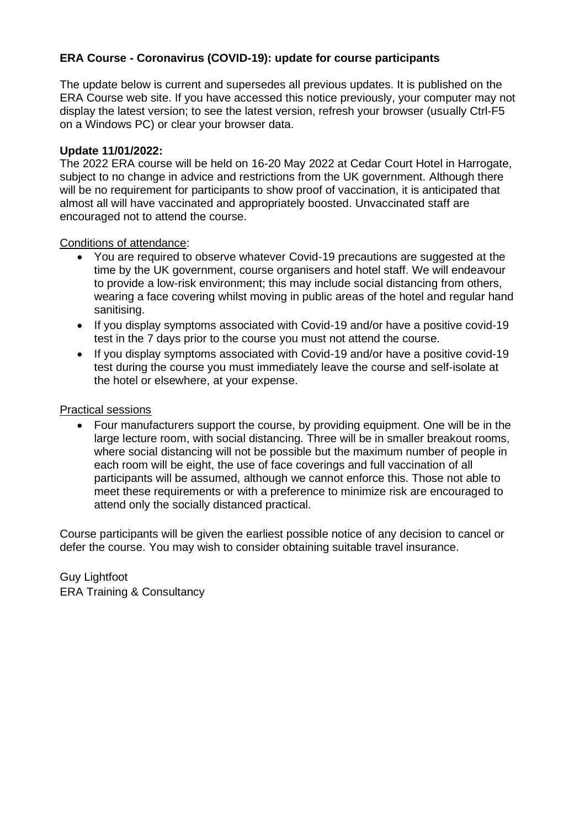## **ERA Course - Coronavirus (COVID-19): update for course participants**

The update below is current and supersedes all previous updates. It is published on the ERA Course web site. If you have accessed this notice previously, your computer may not display the latest version; to see the latest version, refresh your browser (usually Ctrl-F5 on a Windows PC) or clear your browser data.

## **Update 11/01/2022:**

The 2022 ERA course will be held on 16-20 May 2022 at Cedar Court Hotel in Harrogate, subject to no change in advice and restrictions from the UK government. Although there will be no requirement for participants to show proof of vaccination, it is anticipated that almost all will have vaccinated and appropriately boosted. Unvaccinated staff are encouraged not to attend the course.

Conditions of attendance:

- You are required to observe whatever Covid-19 precautions are suggested at the time by the UK government, course organisers and hotel staff. We will endeavour to provide a low-risk environment; this may include social distancing from others, wearing a face covering whilst moving in public areas of the hotel and regular hand sanitising.
- If you display symptoms associated with Covid-19 and/or have a positive covid-19 test in the 7 days prior to the course you must not attend the course.
- If you display symptoms associated with Covid-19 and/or have a positive covid-19 test during the course you must immediately leave the course and self-isolate at the hotel or elsewhere, at your expense.

## Practical sessions

• Four manufacturers support the course, by providing equipment. One will be in the large lecture room, with social distancing. Three will be in smaller breakout rooms, where social distancing will not be possible but the maximum number of people in each room will be eight, the use of face coverings and full vaccination of all participants will be assumed, although we cannot enforce this. Those not able to meet these requirements or with a preference to minimize risk are encouraged to attend only the socially distanced practical.

Course participants will be given the earliest possible notice of any decision to cancel or defer the course. You may wish to consider obtaining suitable travel insurance.

Guy Lightfoot ERA Training & Consultancy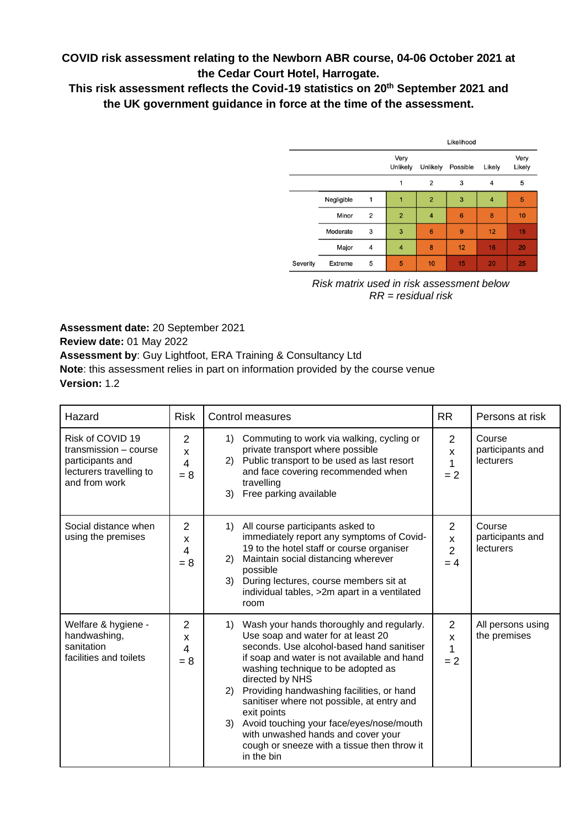**COVID risk assessment relating to the Newborn ABR course, 04-06 October 2021 at the Cedar Court Hotel, Harrogate.**

**This risk assessment reflects the Covid-19 statistics on 20th September 2021 and the UK government guidance in force at the time of the assessment.**

|          |            |                | Likelihood       |                |                 |                |                |
|----------|------------|----------------|------------------|----------------|-----------------|----------------|----------------|
|          |            |                | Very<br>Unlikely | Unlikely       | Possible        | Likely         | Very<br>Likely |
|          |            |                | 1                | $\overline{2}$ | 3               | 4              | 5              |
|          | Negligible | 1              | 1                | $\overline{2}$ | 3               | $\overline{4}$ | 5              |
|          | Minor      | $\overline{2}$ | $\overline{2}$   | $\overline{4}$ | $6\phantom{1}6$ | 8              | 10             |
|          | Moderate   | 3              | 3                | 6              | 9               | 12             | 15             |
|          | Major      | 4              | $\overline{4}$   | 8              | 12              | 16             | 20             |
| Severity | Extreme    | 5              | 5                | 10             | 15              | 20             | 25             |

*Risk matrix used in risk assessment below RR = residual risk*

**Assessment date:** 20 September 2021 **Review date:** 01 May 2022 **Assessment by**: Guy Lightfoot, ERA Training & Consultancy Ltd **Note**: this assessment relies in part on information provided by the course venue **Version:** 1.2

| Hazard                                                                                                    | <b>Risk</b>                       | <b>Control measures</b>                                                                                                                                                                                                                                                                                                                                                                                                                                                                                   | <b>RR</b>                                    | Persons at risk                         |
|-----------------------------------------------------------------------------------------------------------|-----------------------------------|-----------------------------------------------------------------------------------------------------------------------------------------------------------------------------------------------------------------------------------------------------------------------------------------------------------------------------------------------------------------------------------------------------------------------------------------------------------------------------------------------------------|----------------------------------------------|-----------------------------------------|
| Risk of COVID 19<br>transmission - course<br>participants and<br>lecturers travelling to<br>and from work | 2<br>X<br>4<br>$= 8$              | Commuting to work via walking, cycling or<br>$\left( \begin{matrix} 1 \end{matrix} \right)$<br>private transport where possible<br>2) Public transport to be used as last resort<br>and face covering recommended when<br>travelling<br>Free parking available<br>3)                                                                                                                                                                                                                                      | $\overline{2}$<br>X<br>1<br>$= 2$            | Course<br>participants and<br>lecturers |
| Social distance when<br>using the premises                                                                | $\overline{2}$<br>X<br>4<br>$= 8$ | 1) All course participants asked to<br>immediately report any symptoms of Covid-<br>19 to the hotel staff or course organiser<br>Maintain social distancing wherever<br>2)<br>possible<br>3)<br>During lectures, course members sit at<br>individual tables, >2m apart in a ventilated<br>room                                                                                                                                                                                                            | $\mathbf{2}$<br>X<br>$\overline{2}$<br>$= 4$ | Course<br>participants and<br>lecturers |
| Welfare & hygiene -<br>handwashing,<br>sanitation<br>facilities and toilets                               | $\overline{2}$<br>X<br>4<br>$= 8$ | 1) Wash your hands thoroughly and regularly.<br>Use soap and water for at least 20<br>seconds. Use alcohol-based hand sanitiser<br>if soap and water is not available and hand<br>washing technique to be adopted as<br>directed by NHS<br>Providing handwashing facilities, or hand<br>2)<br>sanitiser where not possible, at entry and<br>exit points<br>3) Avoid touching your face/eyes/nose/mouth<br>with unwashed hands and cover your<br>cough or sneeze with a tissue then throw it<br>in the bin | $\overline{2}$<br>X<br>1<br>$= 2$            | All persons using<br>the premises       |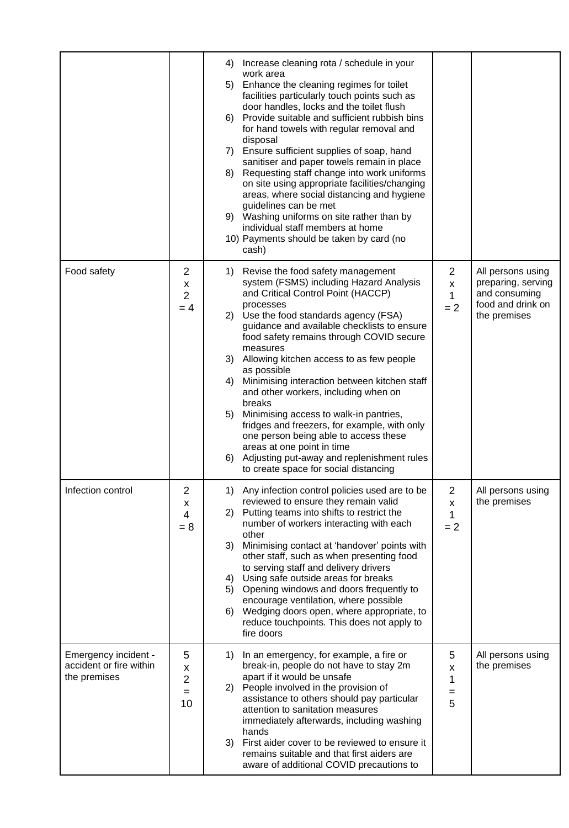|                                                                 |                                   | 4) Increase cleaning rota / schedule in your<br>work area<br>5) Enhance the cleaning regimes for toilet<br>facilities particularly touch points such as<br>door handles, locks and the toilet flush<br>Provide suitable and sufficient rubbish bins<br>6)<br>for hand towels with regular removal and<br>disposal<br>7) Ensure sufficient supplies of soap, hand<br>sanitiser and paper towels remain in place<br>Requesting staff change into work uniforms<br>8)<br>on site using appropriate facilities/changing<br>areas, where social distancing and hygiene<br>guidelines can be met<br>9) Washing uniforms on site rather than by<br>individual staff members at home<br>10) Payments should be taken by card (no<br>cash) |                                              |                                                                                               |
|-----------------------------------------------------------------|-----------------------------------|-----------------------------------------------------------------------------------------------------------------------------------------------------------------------------------------------------------------------------------------------------------------------------------------------------------------------------------------------------------------------------------------------------------------------------------------------------------------------------------------------------------------------------------------------------------------------------------------------------------------------------------------------------------------------------------------------------------------------------------|----------------------------------------------|-----------------------------------------------------------------------------------------------|
| Food safety                                                     | 2<br>X<br>$\overline{2}$<br>$= 4$ | 1) Revise the food safety management<br>system (FSMS) including Hazard Analysis<br>and Critical Control Point (HACCP)<br>processes<br>2) Use the food standards agency (FSA)<br>guidance and available checklists to ensure<br>food safety remains through COVID secure<br>measures<br>3) Allowing kitchen access to as few people<br>as possible<br>Minimising interaction between kitchen staff<br>4)<br>and other workers, including when on<br>breaks<br>Minimising access to walk-in pantries,<br>5)<br>fridges and freezers, for example, with only<br>one person being able to access these<br>areas at one point in time<br>6) Adjusting put-away and replenishment rules<br>to create space for social distancing        | $\overline{2}$<br>X<br>$\mathbf{1}$<br>$= 2$ | All persons using<br>preparing, serving<br>and consuming<br>food and drink on<br>the premises |
| Infection control                                               | 2<br>X<br>$\overline{4}$<br>$= 8$ | 1) Any infection control policies used are to be<br>reviewed to ensure they remain valid<br>2) Putting teams into shifts to restrict the<br>number of workers interacting with each<br>other<br>3)<br>Minimising contact at 'handover' points with<br>other staff, such as when presenting food<br>to serving staff and delivery drivers<br>4) Using safe outside areas for breaks<br>5) Opening windows and doors frequently to<br>encourage ventilation, where possible<br>Wedging doors open, where appropriate, to<br>6)<br>reduce touchpoints. This does not apply to<br>fire doors                                                                                                                                          | $\overline{2}$<br>X<br>1<br>$= 2$            | All persons using<br>the premises                                                             |
| Emergency incident -<br>accident or fire within<br>the premises | 5<br>x<br>2<br>$=$<br>10          | In an emergency, for example, a fire or<br>1)<br>break-in, people do not have to stay 2m<br>apart if it would be unsafe<br>2) People involved in the provision of<br>assistance to others should pay particular<br>attention to sanitation measures<br>immediately afterwards, including washing<br>hands<br>3) First aider cover to be reviewed to ensure it<br>remains suitable and that first aiders are<br>aware of additional COVID precautions to                                                                                                                                                                                                                                                                           | 5<br>X<br>1<br>=<br>5                        | All persons using<br>the premises                                                             |